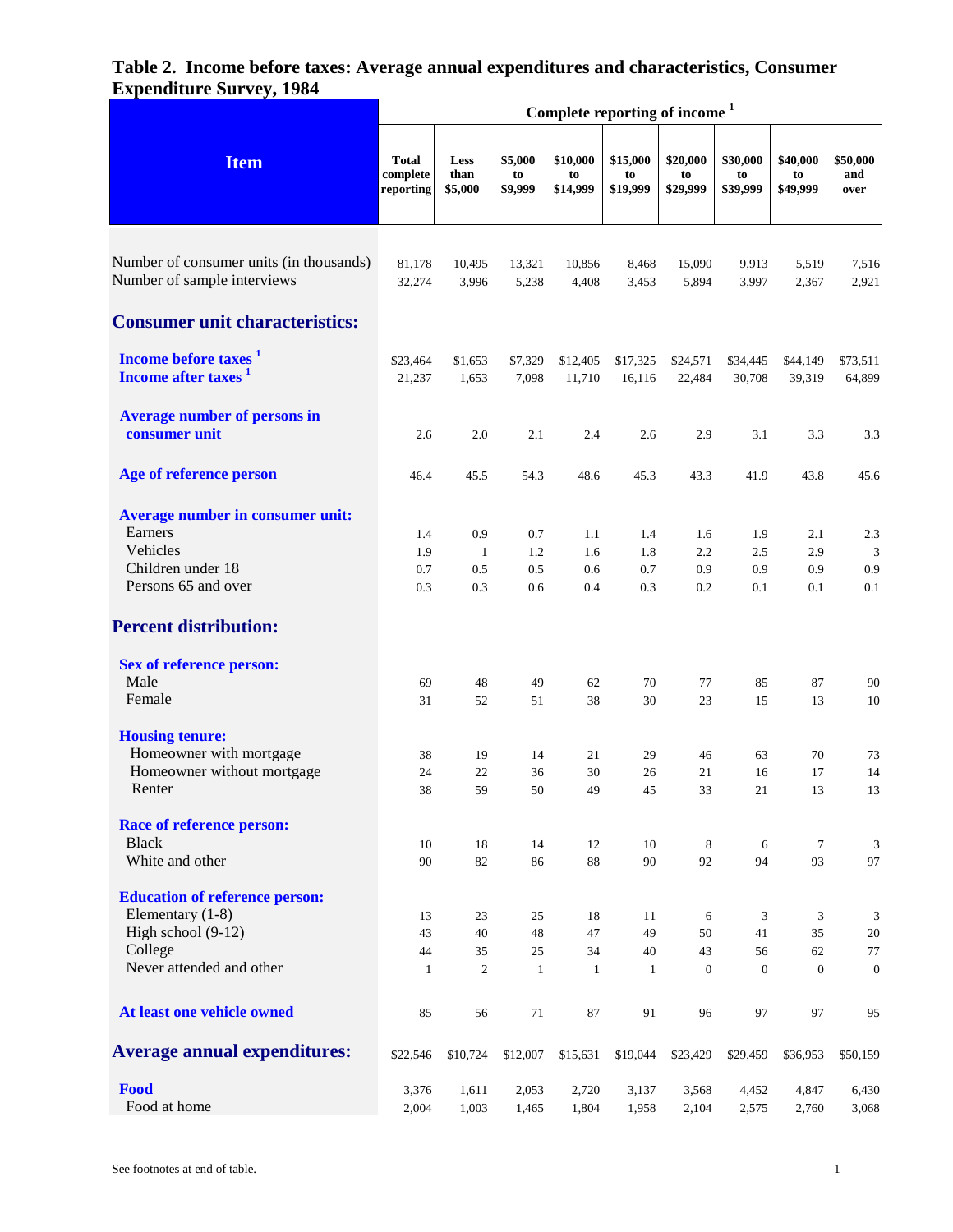|                                                                                                            | Complete reporting of income <sup>1</sup> |                                   |                          |                            |                            |                            |                            |                            |                         |  |
|------------------------------------------------------------------------------------------------------------|-------------------------------------------|-----------------------------------|--------------------------|----------------------------|----------------------------|----------------------------|----------------------------|----------------------------|-------------------------|--|
| <b>Item</b>                                                                                                | Total<br>complete<br>reporting            | Less<br>than<br>\$5,000           | \$5,000<br>to<br>\$9,999 | \$10,000<br>to<br>\$14,999 | \$15,000<br>to<br>\$19,999 | \$20,000<br>to<br>\$29,999 | \$30,000<br>to<br>\$39,999 | \$40,000<br>to<br>\$49,999 | \$50,000<br>and<br>over |  |
| Number of consumer units (in thousands)<br>Number of sample interviews                                     | 81,178<br>32,274                          | 10,495<br>3,996                   | 13,321<br>5,238          | 10,856<br>4,408            | 8,468<br>3,453             | 15,090<br>5,894            | 9,913<br>3,997             | 5,519<br>2,367             | 7,516<br>2,921          |  |
| <b>Consumer unit characteristics:</b>                                                                      |                                           |                                   |                          |                            |                            |                            |                            |                            |                         |  |
| Income before taxes <sup>1</sup><br>Income after taxes <sup>1</sup>                                        | \$23,464<br>21,237                        | \$1,653<br>1,653                  | \$7,329<br>7,098         | \$12,405<br>11,710         | \$17,325<br>16,116         | \$24,571<br>22,484         | \$34,445<br>30,708         | \$44,149<br>39,319         | \$73,511<br>64,899      |  |
| <b>Average number of persons in</b><br>consumer unit                                                       | 2.6                                       | 2.0                               | 2.1                      | 2.4                        | 2.6                        | 2.9                        | 3.1                        | 3.3                        | 3.3                     |  |
| Age of reference person                                                                                    | 46.4                                      | 45.5                              | 54.3                     | 48.6                       | 45.3                       | 43.3                       | 41.9                       | 43.8                       | 45.6                    |  |
| <b>Average number in consumer unit:</b><br>Earners<br>Vehicles<br>Children under 18<br>Persons 65 and over | 1.4<br>1.9<br>0.7<br>0.3                  | 0.9<br>$\mathbf{1}$<br>0.5<br>0.3 | 0.7<br>1.2<br>0.5<br>0.6 | 1.1<br>1.6<br>0.6<br>0.4   | 1.4<br>1.8<br>0.7<br>0.3   | 1.6<br>2.2<br>0.9<br>0.2   | 1.9<br>2.5<br>0.9<br>0.1   | 2.1<br>2.9<br>0.9<br>0.1   | 2.3<br>3<br>0.9<br>0.1  |  |
| <b>Percent distribution:</b>                                                                               |                                           |                                   |                          |                            |                            |                            |                            |                            |                         |  |
| <b>Sex of reference person:</b><br>Male<br>Female                                                          | 69<br>31                                  | 48<br>52                          | 49<br>51                 | 62<br>38                   | 70<br>30                   | 77<br>23                   | 85<br>15                   | 87<br>13                   | 90<br>10                |  |
| <b>Housing tenure:</b><br>Homeowner with mortgage<br>Homeowner without mortgage<br>Renter                  | 38<br>24<br>38                            | 19<br>22<br>59                    | 14<br>36<br>50           | 21<br>30<br>49             | 29<br>26<br>45             | 46<br>21<br>33             | 63<br>16<br>21             | 70<br>17<br>13             | 73<br>14<br>13          |  |
| <b>Race of reference person:</b><br><b>Black</b><br>White and other                                        | 10<br>90                                  | 18<br>82                          | 14<br>86                 | 12<br>88                   | 10<br>90                   | 8<br>92                    | 6<br>94                    | $\tau$<br>93               | 3<br>97                 |  |
| <b>Education of reference person:</b><br>Elementary $(1-8)$<br>High school $(9-12)$<br>College             | 13<br>43<br>44                            | 23<br>40<br>35                    | 25<br>48<br>$25\,$       | 18<br>47<br>34             | 11<br>49<br>40             | 6<br>50<br>43              | 3<br>41<br>56              | 3<br>35<br>62              | 3<br>20<br>77           |  |
| Never attended and other                                                                                   | $\mathbf{1}$                              | $\boldsymbol{2}$                  | $\mathbf{1}$             | $\mathbf{1}$               | $\mathbf{1}$               | $\boldsymbol{0}$           | $\mathbf{0}$               | $\mathbf{0}$               | $\boldsymbol{0}$        |  |
| At least one vehicle owned                                                                                 | 85                                        | 56                                | 71                       | 87                         | 91                         | 96                         | 97                         | 97                         | 95                      |  |
| <b>Average annual expenditures:</b>                                                                        | \$22,546                                  | \$10,724                          | \$12,007                 | \$15,631                   | \$19,044                   | \$23,429                   | \$29,459                   | \$36,953                   | \$50,159                |  |
| Food<br>Food at home                                                                                       | 3,376<br>2,004                            | 1,611<br>1,003                    | 2,053<br>1,465           | 2,720<br>1,804             | 3,137<br>1,958             | 3,568<br>2,104             | 4,452<br>2,575             | 4,847<br>2,760             | 6,430<br>3,068          |  |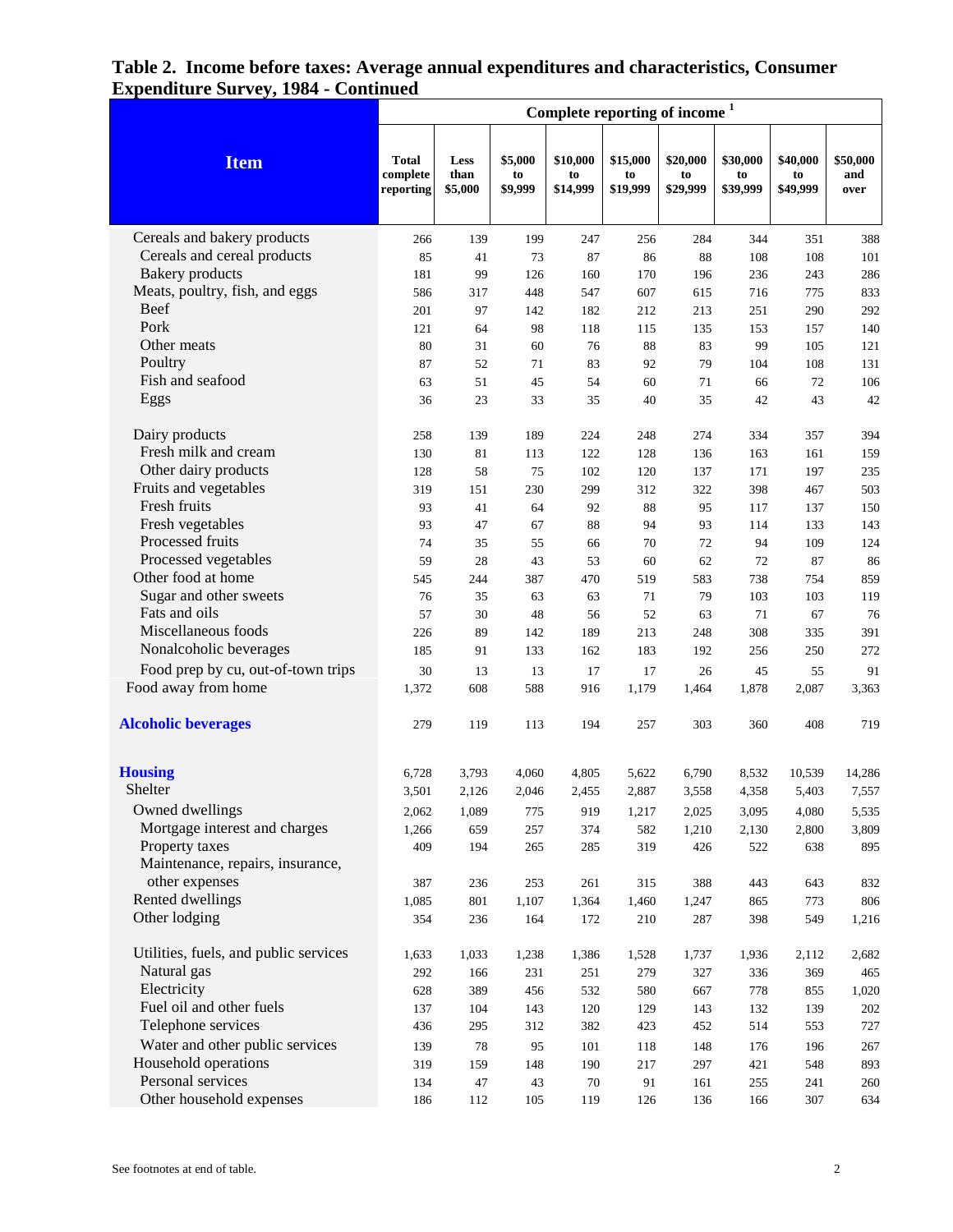|                                       | Complete reporting of income <sup>1</sup> |                         |                          |                            |                            |                            |                            |                            |                         |
|---------------------------------------|-------------------------------------------|-------------------------|--------------------------|----------------------------|----------------------------|----------------------------|----------------------------|----------------------------|-------------------------|
| <b>Item</b>                           | <b>Total</b><br>complete<br>reporting     | Less<br>than<br>\$5,000 | \$5,000<br>to<br>\$9,999 | \$10,000<br>to<br>\$14,999 | \$15,000<br>to<br>\$19,999 | \$20,000<br>to<br>\$29,999 | \$30,000<br>to<br>\$39,999 | \$40,000<br>to<br>\$49,999 | \$50,000<br>and<br>over |
| Cereals and bakery products           | 266                                       | 139                     | 199                      | 247                        | 256                        | 284                        | 344                        | 351                        | 388                     |
| Cereals and cereal products           | 85                                        | 41                      | 73                       | 87                         | 86                         | 88                         | 108                        | 108                        | 101                     |
| <b>Bakery</b> products                | 181                                       | 99                      | 126                      | 160                        | 170                        | 196                        | 236                        | 243                        | 286                     |
| Meats, poultry, fish, and eggs        | 586                                       | 317                     | 448                      | 547                        | 607                        | 615                        | 716                        | 775                        | 833                     |
| <b>Beef</b>                           | 201                                       | 97                      | 142                      | 182                        | 212                        | 213                        | 251                        | 290                        | 292                     |
| Pork                                  | 121                                       | 64                      | 98                       | 118                        | 115                        | 135                        | 153                        | 157                        | 140                     |
| Other meats                           | 80                                        | 31                      | 60                       | 76                         | 88                         | 83                         | 99                         | 105                        | 121                     |
| Poultry                               | 87                                        | 52                      | 71                       | 83                         | 92                         | 79                         | 104                        | 108                        | 131                     |
| Fish and seafood                      | 63                                        | 51                      | 45                       | 54                         | 60                         | 71                         | 66                         | 72                         | 106                     |
| Eggs                                  | 36                                        | 23                      | 33                       | 35                         | 40                         | 35                         | 42                         | 43                         | 42                      |
| Dairy products                        | 258                                       | 139                     | 189                      | 224                        | 248                        | 274                        | 334                        | 357                        | 394                     |
| Fresh milk and cream                  | 130                                       | 81                      | 113                      | 122                        | 128                        | 136                        | 163                        | 161                        | 159                     |
| Other dairy products                  | 128                                       | 58                      | 75                       | 102                        | 120                        | 137                        | 171                        | 197                        | 235                     |
| Fruits and vegetables                 | 319                                       | 151                     | 230                      | 299                        | 312                        | 322                        | 398                        | 467                        | 503                     |
| Fresh fruits                          | 93                                        | 41                      | 64                       | 92                         | 88                         | 95                         | 117                        | 137                        | 150                     |
| Fresh vegetables<br>Processed fruits  | 93                                        | 47                      | 67                       | 88                         | 94                         | 93                         | 114                        | 133                        | 143                     |
| Processed vegetables                  | 74                                        | 35                      | 55                       | 66                         | 70                         | 72                         | 94<br>72                   | 109<br>87                  | 124                     |
| Other food at home                    | 59<br>545                                 | 28<br>244               | 43<br>387                | 53<br>470                  | 60<br>519                  | 62<br>583                  | 738                        | 754                        | 86<br>859               |
| Sugar and other sweets                | 76                                        | 35                      | 63                       | 63                         | 71                         | 79                         | 103                        | 103                        | 119                     |
| Fats and oils                         | 57                                        | 30                      | 48                       | 56                         | 52                         | 63                         | 71                         | 67                         | 76                      |
| Miscellaneous foods                   | 226                                       | 89                      | 142                      | 189                        | 213                        | 248                        | 308                        | 335                        | 391                     |
| Nonalcoholic beverages                | 185                                       | 91                      | 133                      | 162                        | 183                        | 192                        | 256                        | 250                        | 272                     |
| Food prep by cu, out-of-town trips    | 30                                        | 13                      | 13                       | 17                         | 17                         | 26                         | 45                         | 55                         | 91                      |
| Food away from home                   | 1,372                                     | 608                     | 588                      | 916                        | 1,179                      | 1,464                      | 1,878                      | 2,087                      | 3,363                   |
| <b>Alcoholic beverages</b>            | 279                                       | 119                     | 113                      | 194                        | 257                        | 303                        | 360                        | 408                        | 719                     |
| <b>Housing</b>                        | 6,728                                     | 3,793                   | 4,060                    | 4,805                      | 5,622                      | 6,790                      | 8,532                      | 10,539                     | 14,286                  |
| Shelter                               | 3,501                                     | 2,126                   | 2,046                    | 2,455                      | 2,887                      | 3,558                      | 4,358                      | 5,403                      | 7,557                   |
| Owned dwellings                       | 2,062                                     | 1,089                   | 775                      | 919                        | 1,217                      | 2,025                      | 3,095                      | 4,080                      | 5,535                   |
| Mortgage interest and charges         | 1,266                                     | 659                     | 257                      | 374                        | 582                        | 1,210                      | 2,130                      | 2,800                      | 3,809                   |
| Property taxes                        | 409                                       | 194                     | 265                      | 285                        | 319                        | 426                        | 522                        | 638                        | 895                     |
| Maintenance, repairs, insurance,      |                                           |                         |                          |                            |                            |                            |                            |                            |                         |
| other expenses                        | 387                                       | 236                     | 253                      | 261                        | 315                        | 388                        | 443                        | 643                        | 832                     |
| Rented dwellings                      | 1,085                                     | 801                     | 1,107                    | 1,364                      | 1,460                      | 1,247                      | 865                        | 773                        | 806                     |
| Other lodging                         | 354                                       | 236                     | 164                      | 172                        | 210                        | 287                        | 398                        | 549                        | 1,216                   |
| Utilities, fuels, and public services | 1,633                                     | 1,033                   | 1,238                    | 1,386                      | 1,528                      | 1,737                      | 1,936                      | 2,112                      | 2,682                   |
| Natural gas                           | 292                                       | 166                     | 231                      | 251                        | 279                        | 327                        | 336                        | 369                        | 465                     |
| Electricity                           | 628                                       | 389                     | 456                      | 532                        | 580                        | 667                        | 778                        | 855                        | 1,020                   |
| Fuel oil and other fuels              | 137                                       | 104                     | 143                      | 120                        | 129                        | 143                        | 132                        | 139                        | $202\,$                 |
| Telephone services                    | 436                                       | 295                     | 312                      | 382                        | 423                        | 452                        | 514                        | 553                        | 727                     |
| Water and other public services       | 139                                       | 78                      | 95                       | 101                        | 118                        | 148                        | 176                        | 196                        | 267                     |
| Household operations                  | 319                                       | 159                     | 148                      | 190                        | 217                        | 297                        | 421                        | 548                        | 893                     |
| Personal services                     | 134                                       | 47                      | 43                       | 70                         | 91                         | 161                        | 255                        | 241                        | 260                     |
| Other household expenses              | 186                                       | 112                     | 105                      | 119                        | 126                        | 136                        | 166                        | 307                        | 634                     |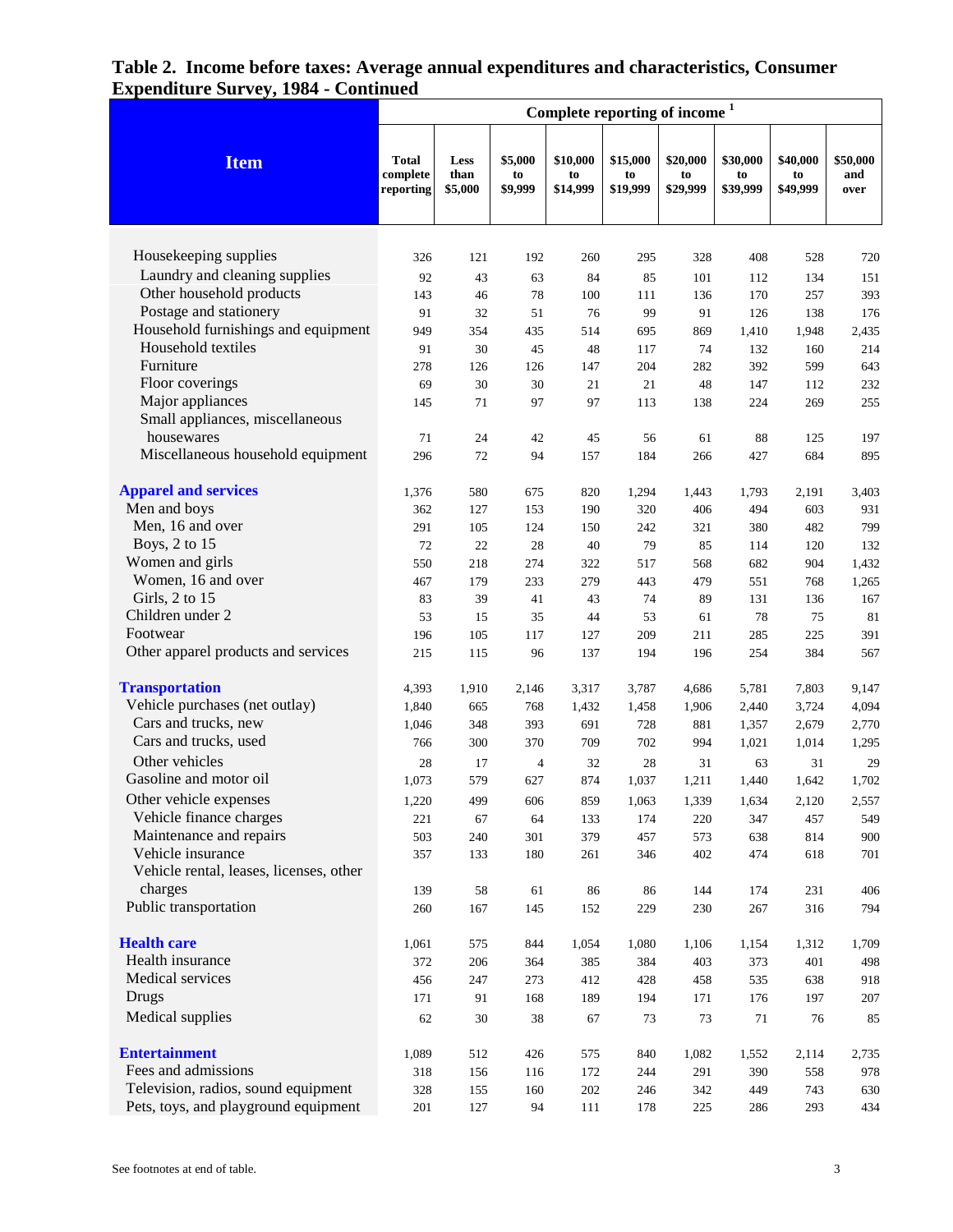|                                         | Complete reporting of income <sup>1</sup> |                         |                          |                            |                            |                            |                            |                            |                         |
|-----------------------------------------|-------------------------------------------|-------------------------|--------------------------|----------------------------|----------------------------|----------------------------|----------------------------|----------------------------|-------------------------|
| <b>Item</b>                             | <b>Total</b><br>complete<br>reporting     | Less<br>than<br>\$5,000 | \$5,000<br>to<br>\$9,999 | \$10,000<br>to<br>\$14,999 | \$15,000<br>to<br>\$19,999 | \$20,000<br>to<br>\$29,999 | \$30,000<br>to<br>\$39,999 | \$40,000<br>to<br>\$49,999 | \$50,000<br>and<br>over |
|                                         |                                           |                         |                          |                            |                            |                            |                            |                            |                         |
| Housekeeping supplies                   | 326                                       | 121                     | 192                      | 260                        | 295                        | 328                        | 408                        | 528                        | 720                     |
| Laundry and cleaning supplies           | 92                                        | 43                      | 63                       | 84                         | 85                         | 101                        | 112                        | 134                        | 151                     |
| Other household products                | 143                                       | 46                      | 78                       | 100                        | 111                        | 136                        | 170                        | 257                        | 393                     |
| Postage and stationery                  | 91                                        | 32                      | 51                       | 76                         | 99                         | 91                         | 126                        | 138                        | 176                     |
| Household furnishings and equipment     | 949                                       | 354                     | 435                      | 514                        | 695                        | 869                        | 1,410                      | 1,948                      | 2,435                   |
| Household textiles                      | 91                                        | 30                      | 45                       | 48                         | 117                        | 74                         | 132                        | 160                        | 214                     |
| Furniture                               | 278                                       | 126                     | 126                      | 147                        | 204                        | 282                        | 392                        | 599                        | 643                     |
| Floor coverings                         | 69                                        | 30                      | 30                       | 21                         | 21                         | 48                         | 147                        | 112                        | 232                     |
| Major appliances                        | 145                                       | 71                      | 97                       | 97                         | 113                        | 138                        | 224                        | 269                        | 255                     |
| Small appliances, miscellaneous         |                                           |                         |                          |                            |                            |                            |                            |                            |                         |
| housewares                              | 71                                        | 24                      | 42                       | 45                         | 56                         | 61                         | 88                         | 125                        | 197                     |
| Miscellaneous household equipment       | 296                                       | 72                      | 94                       | 157                        | 184                        | 266                        | 427                        | 684                        | 895                     |
| <b>Apparel and services</b>             | 1,376                                     | 580                     | 675                      | 820                        | 1,294                      | 1,443                      | 1,793                      | 2,191                      | 3,403                   |
| Men and boys                            | 362                                       | 127                     | 153                      | 190                        | 320                        | 406                        | 494                        | 603                        | 931                     |
| Men, 16 and over                        | 291                                       | 105                     | 124                      | 150                        | 242                        | 321                        | 380                        | 482                        | 799                     |
| Boys, 2 to 15                           | 72                                        | 22                      | 28                       | 40                         | 79                         | 85                         | 114                        | 120                        | 132                     |
| Women and girls                         | 550                                       | 218                     | 274                      | 322                        | 517                        | 568                        | 682                        | 904                        | 1,432                   |
| Women, 16 and over                      | 467                                       | 179                     | 233                      | 279                        | 443                        | 479                        | 551                        | 768                        | 1,265                   |
| Girls, 2 to 15                          | 83                                        | 39                      | 41                       | 43                         | 74                         | 89                         | 131                        | 136                        | 167                     |
| Children under 2                        | 53                                        | 15                      | 35                       | 44                         | 53                         | 61                         | 78                         | 75                         | 81                      |
| Footwear                                | 196                                       | 105                     | 117                      | 127                        | 209                        | 211                        | 285                        | 225                        | 391                     |
| Other apparel products and services     | 215                                       | 115                     | 96                       | 137                        | 194                        | 196                        | 254                        | 384                        | 567                     |
| <b>Transportation</b>                   | 4,393                                     | 1,910                   | 2,146                    | 3,317                      | 3,787                      | 4,686                      | 5,781                      | 7,803                      | 9,147                   |
| Vehicle purchases (net outlay)          | 1,840                                     | 665                     | 768                      | 1,432                      | 1,458                      | 1,906                      | 2,440                      | 3,724                      | 4,094                   |
| Cars and trucks, new                    | 1,046                                     | 348                     | 393                      | 691                        | 728                        | 881                        | 1,357                      | 2,679                      | 2,770                   |
| Cars and trucks, used                   | 766                                       | 300                     | 370                      | 709                        | 702                        | 994                        | 1,021                      | 1,014                      | 1,295                   |
| Other vehicles                          | 28                                        | 17                      | $\overline{4}$           | 32                         | 28                         | 31                         | 63                         | 31                         | 29                      |
| Gasoline and motor oil                  | 1,073                                     | 579                     | 627                      | 874                        | 1,037                      | 1,211                      | 1,440                      | 1,642                      | 1,702                   |
| Other vehicle expenses                  | 1,220                                     | 499                     | 606                      | 859                        | 1,063                      | 1,339                      | 1,634                      | 2,120                      | 2,557                   |
| Vehicle finance charges                 | 221                                       | 67                      | 64                       | 133                        | 174                        | 220                        | 347                        | 457                        | 549                     |
| Maintenance and repairs                 | 503                                       | 240                     | 301                      | 379                        | 457                        | 573                        | 638                        | 814                        | 900                     |
| Vehicle insurance                       | 357                                       | 133                     | 180                      | 261                        | 346                        | 402                        | 474                        | 618                        | 701                     |
| Vehicle rental, leases, licenses, other |                                           |                         |                          |                            |                            |                            |                            |                            |                         |
| charges                                 | 139                                       | 58                      | 61                       | 86                         | 86                         | 144                        | 174                        | 231                        | 406                     |
| Public transportation                   | 260                                       | 167                     | 145                      | 152                        | 229                        | 230                        | 267                        | 316                        | 794                     |
| <b>Health care</b>                      | 1,061                                     | 575                     | 844                      | 1,054                      | 1,080                      | 1,106                      | 1,154                      | 1,312                      | 1,709                   |
| Health insurance                        | 372                                       | 206                     | 364                      | 385                        | 384                        | 403                        | 373                        | 401                        | 498                     |
| Medical services                        | 456                                       | 247                     | 273                      | 412                        | 428                        | 458                        | 535                        | 638                        | 918                     |
| Drugs                                   | 171                                       | 91                      | 168                      | 189                        | 194                        | 171                        | 176                        | 197                        | 207                     |
| Medical supplies                        | 62                                        | 30                      | 38                       | 67                         | 73                         | 73                         | 71                         | 76                         | 85                      |
| <b>Entertainment</b>                    | 1,089                                     | 512                     | 426                      | 575                        | 840                        | 1,082                      | 1,552                      | 2,114                      | 2,735                   |
| Fees and admissions                     | 318                                       | 156                     | 116                      | 172                        | 244                        | 291                        | 390                        | 558                        | 978                     |
| Television, radios, sound equipment     | 328                                       | 155                     | 160                      | 202                        | 246                        | 342                        | 449                        | 743                        | 630                     |
| Pets, toys, and playground equipment    | 201                                       | 127                     | 94                       | 111                        | 178                        | 225                        | 286                        | 293                        | 434                     |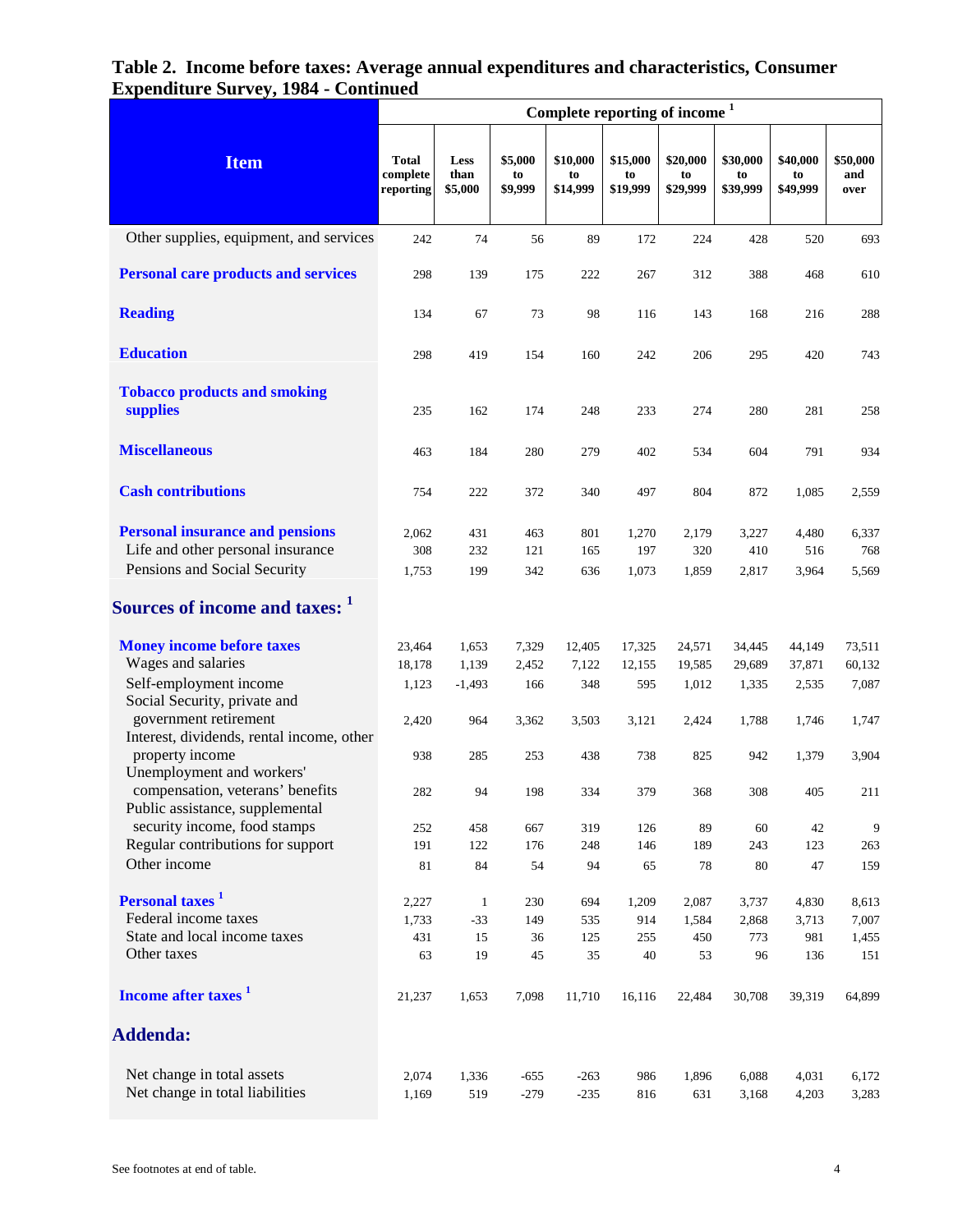|                                                        | Complete reporting of income <sup>1</sup> |                         |                          |                            |                            |                            |                            |                            |                         |  |  |
|--------------------------------------------------------|-------------------------------------------|-------------------------|--------------------------|----------------------------|----------------------------|----------------------------|----------------------------|----------------------------|-------------------------|--|--|
| <b>Item</b>                                            | <b>Total</b><br>complete<br>reporting     | Less<br>than<br>\$5,000 | \$5,000<br>to<br>\$9,999 | \$10,000<br>to<br>\$14,999 | \$15,000<br>to<br>\$19,999 | \$20,000<br>to<br>\$29,999 | \$30,000<br>to<br>\$39,999 | \$40,000<br>to<br>\$49,999 | \$50,000<br>and<br>over |  |  |
| Other supplies, equipment, and services                | 242                                       | 74                      | 56                       | 89                         | 172                        | 224                        | 428                        | 520                        | 693                     |  |  |
| <b>Personal care products and services</b>             | 298                                       | 139                     | 175                      | 222                        | 267                        | 312                        | 388                        | 468                        | 610                     |  |  |
| <b>Reading</b>                                         | 134                                       | 67                      | 73                       | 98                         | 116                        | 143                        | 168                        | 216                        | 288                     |  |  |
| <b>Education</b>                                       | 298                                       | 419                     | 154                      | 160                        | 242                        | 206                        | 295                        | 420                        | 743                     |  |  |
| <b>Tobacco products and smoking</b><br>supplies        | 235                                       | 162                     | 174                      | 248                        | 233                        | 274                        | 280                        | 281                        | 258                     |  |  |
| <b>Miscellaneous</b>                                   | 463                                       | 184                     | 280                      | 279                        | 402                        | 534                        | 604                        | 791                        | 934                     |  |  |
| <b>Cash contributions</b>                              | 754                                       | 222                     | 372                      | 340                        | 497                        | 804                        | 872                        | 1,085                      | 2,559                   |  |  |
| <b>Personal insurance and pensions</b>                 | 2,062                                     | 431                     | 463                      | 801                        | 1,270                      | 2,179                      | 3,227                      | 4,480                      | 6,337                   |  |  |
| Life and other personal insurance                      | 308                                       | 232                     | 121                      | 165                        | 197                        | 320                        | 410                        | 516                        | 768                     |  |  |
| Pensions and Social Security                           | 1,753                                     | 199                     | 342                      | 636                        | 1,073                      | 1,859                      | 2,817                      | 3,964                      | 5,569                   |  |  |
| Sources of income and taxes: 1                         |                                           |                         |                          |                            |                            |                            |                            |                            |                         |  |  |
| <b>Money income before taxes</b>                       | 23,464                                    | 1,653                   | 7,329                    | 12,405                     | 17,325                     | 24,571                     | 34,445                     | 44,149                     | 73,511                  |  |  |
| Wages and salaries                                     | 18,178                                    | 1,139                   | 2,452                    | 7,122                      | 12,155                     | 19,585                     | 29,689                     | 37,871                     | 60,132                  |  |  |
| Self-employment income<br>Social Security, private and | 1,123                                     | $-1,493$                | 166                      | 348                        | 595                        | 1,012                      | 1,335                      | 2,535                      | 7,087                   |  |  |
| government retirement                                  | 2,420                                     | 964                     | 3,362                    | 3,503                      | 3,121                      | 2,424                      | 1,788                      | 1,746                      | 1,747                   |  |  |
| Interest, dividends, rental income, other              |                                           |                         |                          |                            |                            |                            |                            |                            |                         |  |  |
| property income<br>Unemployment and workers'           | 938                                       | 285                     | 253                      | 438                        | 738                        | 825                        | 942                        | 1,379                      | 3,904                   |  |  |
| compensation, veterans' benefits                       | 282                                       | 94                      | 198                      | 334                        | 379                        | 368                        | 308                        | 405                        | 211                     |  |  |
| Public assistance, supplemental                        |                                           |                         |                          |                            |                            |                            |                            |                            |                         |  |  |
| security income, food stamps                           | 252                                       | 458                     | 667                      | 319                        | 126                        | 89                         | 60                         | 42                         | 9                       |  |  |
| Regular contributions for support                      | 191                                       | 122                     | 176                      | 248                        | 146                        | 189                        | 243                        | 123                        | 263                     |  |  |
| Other income                                           | 81                                        | 84                      | 54                       | 94                         | 65                         | 78                         | 80                         | 47                         | 159                     |  |  |
| <b>Personal taxes</b> <sup>1</sup>                     | 2,227                                     | $\mathbf{1}$            | 230                      | 694                        | 1,209                      | 2,087                      | 3,737                      | 4,830                      | 8,613                   |  |  |
| Federal income taxes                                   | 1,733                                     | $-33$                   | 149                      | 535                        | 914                        | 1,584                      | 2,868                      | 3,713                      | 7,007                   |  |  |
| State and local income taxes                           | 431                                       | 15                      | 36                       | 125                        | 255                        | 450                        | 773                        | 981                        | 1,455                   |  |  |
| Other taxes                                            | 63                                        | 19                      | 45                       | 35                         | 40                         | 53                         | 96                         | 136                        | 151                     |  |  |
| Income after taxes <sup>1</sup>                        | 21,237                                    | 1,653                   | 7,098                    | 11,710                     | 16,116                     | 22,484                     | 30,708                     | 39,319                     | 64,899                  |  |  |
| <b>Addenda:</b>                                        |                                           |                         |                          |                            |                            |                            |                            |                            |                         |  |  |
| Net change in total assets                             | 2,074                                     | 1,336                   | $-655$                   | $-263$                     | 986                        | 1,896                      | 6,088                      | 4,031                      | 6,172                   |  |  |
| Net change in total liabilities                        | 1,169                                     | 519                     | $-279$                   | $-235$                     | 816                        | 631                        | 3,168                      | 4,203                      | 3,283                   |  |  |